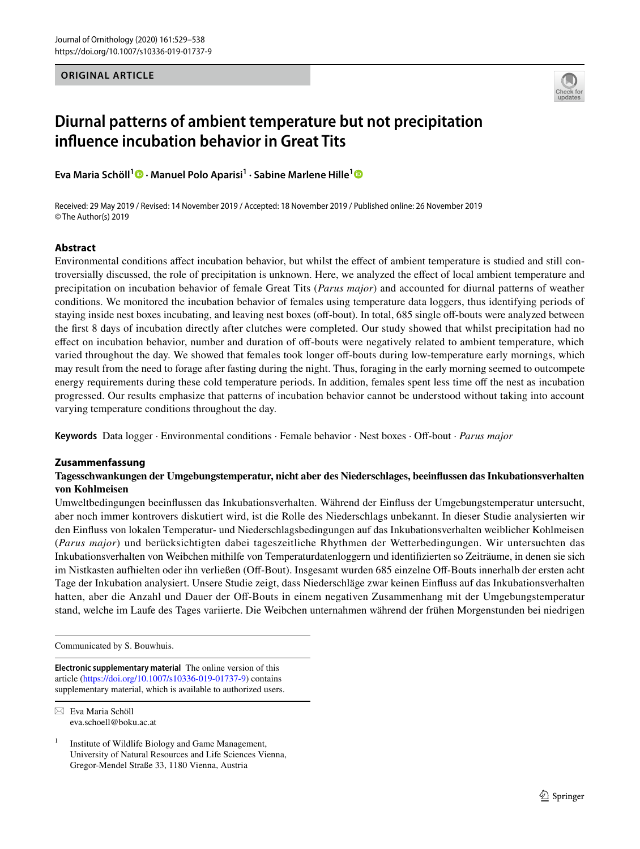# **ORIGINAL ARTICLE**



# **Diurnal patterns of ambient temperature but not precipitation infuence incubation behavior in Great Tits**

**Eva Maria Schöll1  [·](http://orcid.org/0000-0003-3096-5885) Manuel Polo Aparisi1 · Sabine Marlene Hille[1](http://orcid.org/0000-0002-3680-7549)**

Received: 29 May 2019 / Revised: 14 November 2019 / Accepted: 18 November 2019 / Published online: 26 November 2019 © The Author(s) 2019

# **Abstract**

Environmental conditions afect incubation behavior, but whilst the efect of ambient temperature is studied and still controversially discussed, the role of precipitation is unknown. Here, we analyzed the efect of local ambient temperature and precipitation on incubation behavior of female Great Tits (*Parus major*) and accounted for diurnal patterns of weather conditions. We monitored the incubation behavior of females using temperature data loggers, thus identifying periods of staying inside nest boxes incubating, and leaving nest boxes (off-bout). In total, 685 single off-bouts were analyzed between the frst 8 days of incubation directly after clutches were completed. Our study showed that whilst precipitation had no effect on incubation behavior, number and duration of off-bouts were negatively related to ambient temperature, which varied throughout the day. We showed that females took longer off-bouts during low-temperature early mornings, which may result from the need to forage after fasting during the night. Thus, foraging in the early morning seemed to outcompete energy requirements during these cold temperature periods. In addition, females spent less time off the nest as incubation progressed. Our results emphasize that patterns of incubation behavior cannot be understood without taking into account varying temperature conditions throughout the day.

**Keywords** Data logger · Environmental conditions · Female behavior · Nest boxes · Of-bout · *Parus major*

## **Zusammenfassung**

# **Tagesschwankungen der Umgebungstemperatur, nicht aber des Niederschlages, beeinfussen das Inkubationsverhalten von Kohlmeisen**

Umweltbedingungen beeinfussen das Inkubationsverhalten. Während der Einfuss der Umgebungstemperatur untersucht, aber noch immer kontrovers diskutiert wird, ist die Rolle des Niederschlags unbekannt. In dieser Studie analysierten wir den Einfuss von lokalen Temperatur- und Niederschlagsbedingungen auf das Inkubationsverhalten weiblicher Kohlmeisen (*Parus major*) und berücksichtigten dabei tageszeitliche Rhythmen der Wetterbedingungen. Wir untersuchten das Inkubationsverhalten von Weibchen mithilfe von Temperaturdatenloggern und identifzierten so Zeiträume, in denen sie sich im Nistkasten aufhielten oder ihn verließen (Off-Bout). Insgesamt wurden 685 einzelne Off-Bouts innerhalb der ersten acht Tage der Inkubation analysiert. Unsere Studie zeigt, dass Niederschläge zwar keinen Einfuss auf das Inkubationsverhalten hatten, aber die Anzahl und Dauer der Off-Bouts in einem negativen Zusammenhang mit der Umgebungstemperatur stand, welche im Laufe des Tages variierte. Die Weibchen unternahmen während der frühen Morgenstunden bei niedrigen

Communicated by S. Bouwhuis.

**Electronic supplementary material** The online version of this article [\(https://doi.org/10.1007/s10336-019-01737-9\)](https://doi.org/10.1007/s10336-019-01737-9) contains supplementary material, which is available to authorized users.

 $\boxtimes$  Eva Maria Schöll eva.schoell@boku.ac.at

<sup>1</sup> Institute of Wildlife Biology and Game Management, University of Natural Resources and Life Sciences Vienna, Gregor-Mendel Straße 33, 1180 Vienna, Austria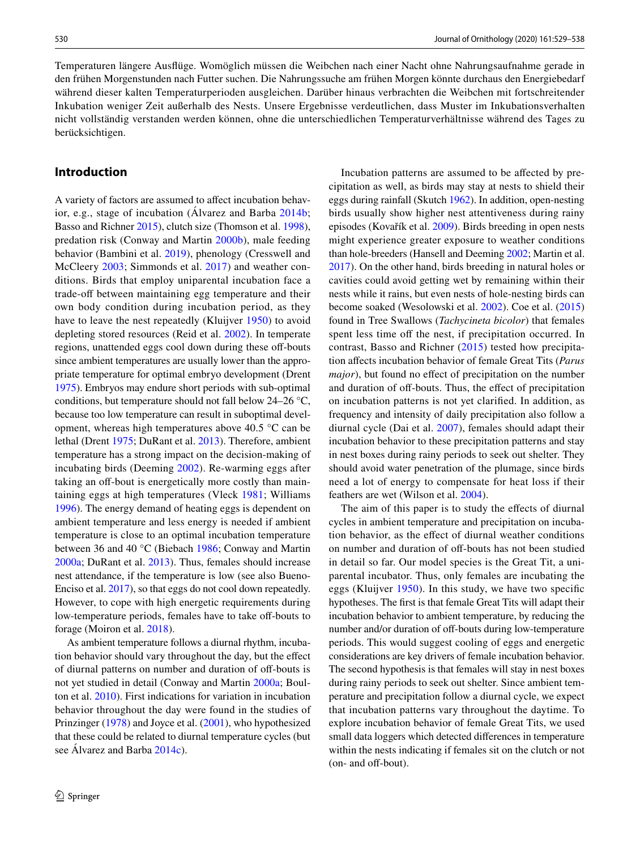Temperaturen längere Ausfüge. Womöglich müssen die Weibchen nach einer Nacht ohne Nahrungsaufnahme gerade in den frühen Morgenstunden nach Futter suchen. Die Nahrungssuche am frühen Morgen könnte durchaus den Energiebedarf während dieser kalten Temperaturperioden ausgleichen. Darüber hinaus verbrachten die Weibchen mit fortschreitender Inkubation weniger Zeit außerhalb des Nests. Unsere Ergebnisse verdeutlichen, dass Muster im Inkubationsverhalten nicht vollständig verstanden werden können, ohne die unterschiedlichen Temperaturverhältnisse während des Tages zu berücksichtigen.

# **Introduction**

A variety of factors are assumed to afect incubation behavior, e.g., stage of incubation (Álvarez and Barba [2014b](#page-8-0); Basso and Richner [2015](#page-8-1)), clutch size (Thomson et al. [1998](#page-9-0)), predation risk (Conway and Martin [2000b\)](#page-8-2), male feeding behavior (Bambini et al. [2019\)](#page-8-3), phenology (Cresswell and McCleery [2003;](#page-8-4) Simmonds et al. [2017\)](#page-9-1) and weather conditions. Birds that employ uniparental incubation face a trade-off between maintaining egg temperature and their own body condition during incubation period, as they have to leave the nest repeatedly (Kluijver [1950\)](#page-8-5) to avoid depleting stored resources (Reid et al. [2002](#page-9-2)). In temperate regions, unattended eggs cool down during these off-bouts since ambient temperatures are usually lower than the appropriate temperature for optimal embryo development (Drent [1975](#page-8-6)). Embryos may endure short periods with sub-optimal conditions, but temperature should not fall below 24–26 °C, because too low temperature can result in suboptimal development, whereas high temperatures above 40.5 °C can be lethal (Drent [1975](#page-8-6); DuRant et al. [2013\)](#page-8-7). Therefore, ambient temperature has a strong impact on the decision-making of incubating birds (Deeming [2002](#page-8-8)). Re-warming eggs after taking an off-bout is energetically more costly than maintaining eggs at high temperatures (Vleck [1981](#page-9-3); Williams [1996](#page-9-4)). The energy demand of heating eggs is dependent on ambient temperature and less energy is needed if ambient temperature is close to an optimal incubation temperature between 36 and 40 °C (Biebach [1986](#page-8-9); Conway and Martin [2000a;](#page-8-10) DuRant et al. [2013](#page-8-7)). Thus, females should increase nest attendance, if the temperature is low (see also Bueno-Enciso et al. [2017\)](#page-8-11), so that eggs do not cool down repeatedly. However, to cope with high energetic requirements during low-temperature periods, females have to take off-bouts to forage (Moiron et al. [2018\)](#page-9-5).

As ambient temperature follows a diurnal rhythm, incubation behavior should vary throughout the day, but the efect of diurnal patterns on number and duration of of-bouts is not yet studied in detail (Conway and Martin [2000a;](#page-8-10) Boulton et al. [2010](#page-8-12)). First indications for variation in incubation behavior throughout the day were found in the studies of Prinzinger [\(1978](#page-9-6)) and Joyce et al. [\(2001](#page-8-13)), who hypothesized that these could be related to diurnal temperature cycles (but see Álvarez and Barba [2014c\)](#page-8-14).

Incubation patterns are assumed to be afected by precipitation as well, as birds may stay at nests to shield their eggs during rainfall (Skutch [1962\)](#page-9-7). In addition, open-nesting birds usually show higher nest attentiveness during rainy episodes (Kovařík et al. [2009\)](#page-8-15). Birds breeding in open nests might experience greater exposure to weather conditions than hole-breeders (Hansell and Deeming [2002](#page-8-16); Martin et al. [2017](#page-8-17)). On the other hand, birds breeding in natural holes or cavities could avoid getting wet by remaining within their nests while it rains, but even nests of hole-nesting birds can become soaked (Wesolowski et al. [2002\)](#page-9-8). Coe et al. ([2015\)](#page-8-18) found in Tree Swallows (*Tachycineta bicolor*) that females spent less time off the nest, if precipitation occurred. In contrast, Basso and Richner ([2015](#page-8-1)) tested how precipitation afects incubation behavior of female Great Tits (*Parus major*), but found no effect of precipitation on the number and duration of off-bouts. Thus, the effect of precipitation on incubation patterns is not yet clarifed. In addition, as frequency and intensity of daily precipitation also follow a diurnal cycle (Dai et al. [2007](#page-8-19)), females should adapt their incubation behavior to these precipitation patterns and stay in nest boxes during rainy periods to seek out shelter. They should avoid water penetration of the plumage, since birds need a lot of energy to compensate for heat loss if their feathers are wet (Wilson et al. [2004\)](#page-9-9).

The aim of this paper is to study the effects of diurnal cycles in ambient temperature and precipitation on incubation behavior, as the efect of diurnal weather conditions on number and duration of of-bouts has not been studied in detail so far. Our model species is the Great Tit, a uniparental incubator. Thus, only females are incubating the eggs (Kluijver [1950\)](#page-8-5). In this study, we have two specifc hypotheses. The frst is that female Great Tits will adapt their incubation behavior to ambient temperature, by reducing the number and/or duration of off-bouts during low-temperature periods. This would suggest cooling of eggs and energetic considerations are key drivers of female incubation behavior. The second hypothesis is that females will stay in nest boxes during rainy periods to seek out shelter. Since ambient temperature and precipitation follow a diurnal cycle, we expect that incubation patterns vary throughout the daytime. To explore incubation behavior of female Great Tits, we used small data loggers which detected diferences in temperature within the nests indicating if females sit on the clutch or not (on- and off-bout).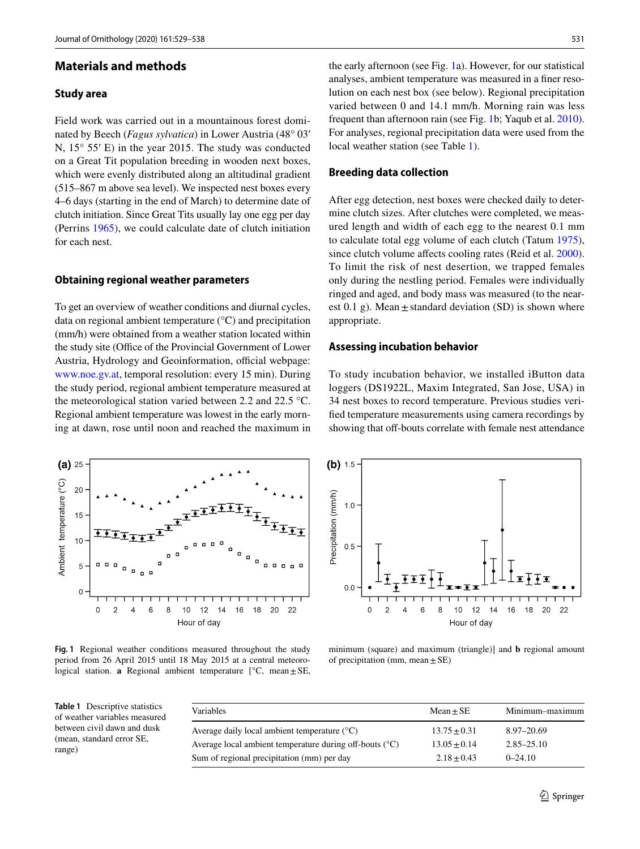# **Materials and methods**

## **Study area**

Field work was carried out in a mountainous forest dominated by Beech (*Fagus sylvatica*) in Lower Austria (48° 03′ N, 15° 55′ E) in the year 2015. The study was conducted on a Great Tit population breeding in wooden next boxes, which were evenly distributed along an altitudinal gradient (515–867 m above sea level). We inspected nest boxes every 4–6 days (starting in the end of March) to determine date of clutch initiation. Since Great Tits usually lay one egg per day (Perrins [1965\)](#page-9-10), we could calculate date of clutch initiation for each nest.

## **Obtaining regional weather parameters**

To get an overview of weather conditions and diurnal cycles, data on regional ambient temperature (°C) and precipitation (mm/h) were obtained from a weather station located within the study site (Office of the Provincial Government of Lower Austria, Hydrology and Geoinformation, official webpage: [www.noe.gv.at](http://www.noe.gv.at), temporal resolution: every 15 min). During the study period, regional ambient temperature measured at the meteorological station varied between 2.2 and 22.5 °C. Regional ambient temperature was lowest in the early morning at dawn, rose until noon and reached the maximum in



<span id="page-2-0"></span>**Fig. 1** Regional weather conditions measured throughout the study period from 26 April 2015 until 18 May 2015 at a central meteorological station. **a** Regional ambient temperature  $[°C, \text{mean} \pm \text{SE}]$ ,

the early afternoon (see Fig. [1a](#page-2-0)). However, for our statistical analyses, ambient temperature was measured in a fner resolution on each nest box (see below). Regional precipitation varied between 0 and 14.1 mm/h. Morning rain was less frequent than afternoon rain (see Fig. [1b](#page-2-0); Yaqub et al. [2010](#page-9-11)). For analyses, regional precipitation data were used from the local weather station (see Table [1\)](#page-2-1).

#### **Breeding data collection**

After egg detection, nest boxes were checked daily to determine clutch sizes. After clutches were completed, we measured length and width of each egg to the nearest 0.1 mm to calculate total egg volume of each clutch (Tatum [1975](#page-9-12)), since clutch volume affects cooling rates (Reid et al. [2000](#page-9-13)). To limit the risk of nest desertion, we trapped females only during the nestling period. Females were individually ringed and aged, and body mass was measured (to the nearest 0.1 g). Mean  $\pm$  standard deviation (SD) is shown where appropriate.

#### **Assessing incubation behavior**

34 nest boxes to record temperature. Previous studies verifed temperature measurements using camera recordings by showing that off-bouts correlate with female nest attendance  $(b) 1.5$ 

To study incubation behavior, we installed iButton data loggers (DS1922L, Maxim Integrated, San Jose, USA) in



minimum (square) and maximum (triangle)] and **b** regional amount of precipitation (mm, mean $\pm$ SE)

<span id="page-2-1"></span>**Table 1** Descriptive statistics of weather variables measured between civil dawn and dusk (mean, standard error SE, range)

| Variables                                                        | $Mean + SE$    | Minimum-maximum |
|------------------------------------------------------------------|----------------|-----------------|
| Average daily local ambient temperature $(^{\circ}C)$            | $13.75 + 0.31$ | 8.97–20.69      |
| Average local ambient temperature during off-bouts $(^{\circ}C)$ | $13.05 + 0.14$ | $2.85 - 25.10$  |
| Sum of regional precipitation (mm) per day                       | $2.18 + 0.43$  | $0 - 24.10$     |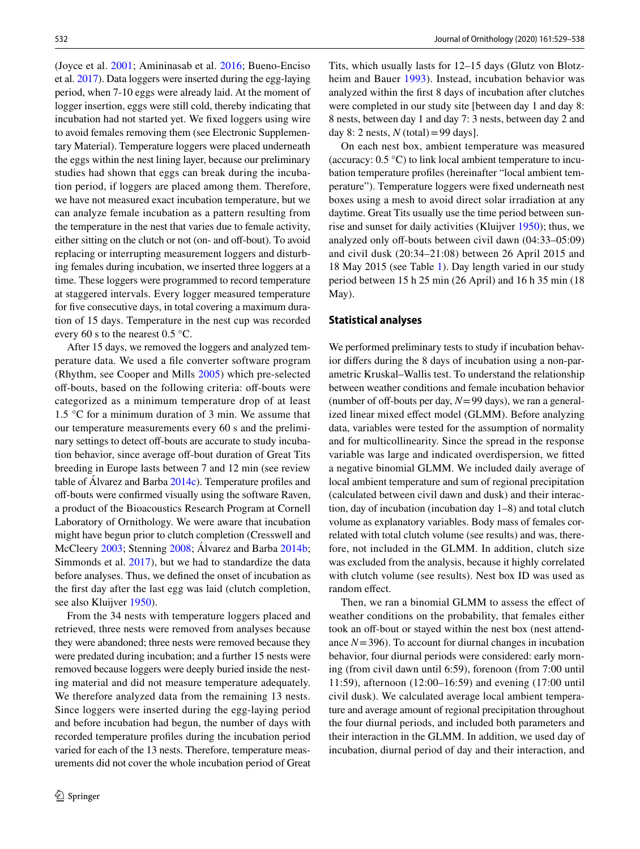(Joyce et al. [2001;](#page-8-13) Amininasab et al. [2016](#page-8-20); Bueno-Enciso et al. [2017](#page-8-11)). Data loggers were inserted during the egg-laying period, when 7-10 eggs were already laid. At the moment of logger insertion, eggs were still cold, thereby indicating that incubation had not started yet. We fxed loggers using wire to avoid females removing them (see Electronic Supplementary Material). Temperature loggers were placed underneath the eggs within the nest lining layer, because our preliminary studies had shown that eggs can break during the incubation period, if loggers are placed among them. Therefore, we have not measured exact incubation temperature, but we can analyze female incubation as a pattern resulting from the temperature in the nest that varies due to female activity, either sitting on the clutch or not (on- and off-bout). To avoid replacing or interrupting measurement loggers and disturbing females during incubation, we inserted three loggers at a time. These loggers were programmed to record temperature at staggered intervals. Every logger measured temperature for five consecutive days, in total covering a maximum duration of 15 days. Temperature in the nest cup was recorded every 60 s to the nearest 0.5 °C.

After 15 days, we removed the loggers and analyzed temperature data. We used a fle converter software program (Rhythm, see Cooper and Mills [2005](#page-8-21)) which pre-selected off-bouts, based on the following criteria: off-bouts were categorized as a minimum temperature drop of at least 1.5 °C for a minimum duration of 3 min. We assume that our temperature measurements every 60 s and the preliminary settings to detect off-bouts are accurate to study incubation behavior, since average off-bout duration of Great Tits breeding in Europe lasts between 7 and 12 min (see review table of Álvarez and Barba [2014c\)](#page-8-14). Temperature profles and off-bouts were confirmed visually using the software Raven, a product of the Bioacoustics Research Program at Cornell Laboratory of Ornithology. We were aware that incubation might have begun prior to clutch completion (Cresswell and McCleery [2003](#page-8-4); Stenning [2008](#page-9-14); Álvarez and Barba [2014b](#page-8-0); Simmonds et al. [2017](#page-9-1)), but we had to standardize the data before analyses. Thus, we defned the onset of incubation as the frst day after the last egg was laid (clutch completion, see also Kluijver [1950\)](#page-8-5).

From the 34 nests with temperature loggers placed and retrieved, three nests were removed from analyses because they were abandoned; three nests were removed because they were predated during incubation; and a further 15 nests were removed because loggers were deeply buried inside the nesting material and did not measure temperature adequately. We therefore analyzed data from the remaining 13 nests. Since loggers were inserted during the egg-laying period and before incubation had begun, the number of days with recorded temperature profles during the incubation period varied for each of the 13 nests. Therefore, temperature measurements did not cover the whole incubation period of Great Tits, which usually lasts for 12–15 days (Glutz von Blotzheim and Bauer [1993\)](#page-8-22). Instead, incubation behavior was analyzed within the frst 8 days of incubation after clutches were completed in our study site [between day 1 and day 8: 8 nests, between day 1 and day 7: 3 nests, between day 2 and day 8: 2 nests,  $N$  (total) = 99 days].

On each nest box, ambient temperature was measured (accuracy: 0.5 °C) to link local ambient temperature to incubation temperature profles (hereinafter "local ambient temperature"). Temperature loggers were fxed underneath nest boxes using a mesh to avoid direct solar irradiation at any daytime. Great Tits usually use the time period between sunrise and sunset for daily activities (Kluijver [1950](#page-8-5)); thus, we analyzed only off-bouts between civil dawn (04:33-05:09) and civil dusk (20:34–21:08) between 26 April 2015 and 18 May 2015 (see Table [1\)](#page-2-1). Day length varied in our study period between 15 h 25 min (26 April) and 16 h 35 min (18 May).

#### **Statistical analyses**

We performed preliminary tests to study if incubation behavior difers during the 8 days of incubation using a non-parametric Kruskal–Wallis test. To understand the relationship between weather conditions and female incubation behavior (number of off-bouts per day,  $N=99$  days), we ran a generalized linear mixed efect model (GLMM). Before analyzing data, variables were tested for the assumption of normality and for multicollinearity. Since the spread in the response variable was large and indicated overdispersion, we ftted a negative binomial GLMM. We included daily average of local ambient temperature and sum of regional precipitation (calculated between civil dawn and dusk) and their interaction, day of incubation (incubation day 1–8) and total clutch volume as explanatory variables. Body mass of females correlated with total clutch volume (see results) and was, therefore, not included in the GLMM. In addition, clutch size was excluded from the analysis, because it highly correlated with clutch volume (see results). Nest box ID was used as random effect.

Then, we ran a binomial GLMM to assess the efect of weather conditions on the probability, that females either took an off-bout or stayed within the nest box (nest attendance  $N = 396$ ). To account for diurnal changes in incubation behavior, four diurnal periods were considered: early morning (from civil dawn until 6:59), forenoon (from 7:00 until 11:59), afternoon (12:00–16:59) and evening (17:00 until civil dusk). We calculated average local ambient temperature and average amount of regional precipitation throughout the four diurnal periods, and included both parameters and their interaction in the GLMM. In addition, we used day of incubation, diurnal period of day and their interaction, and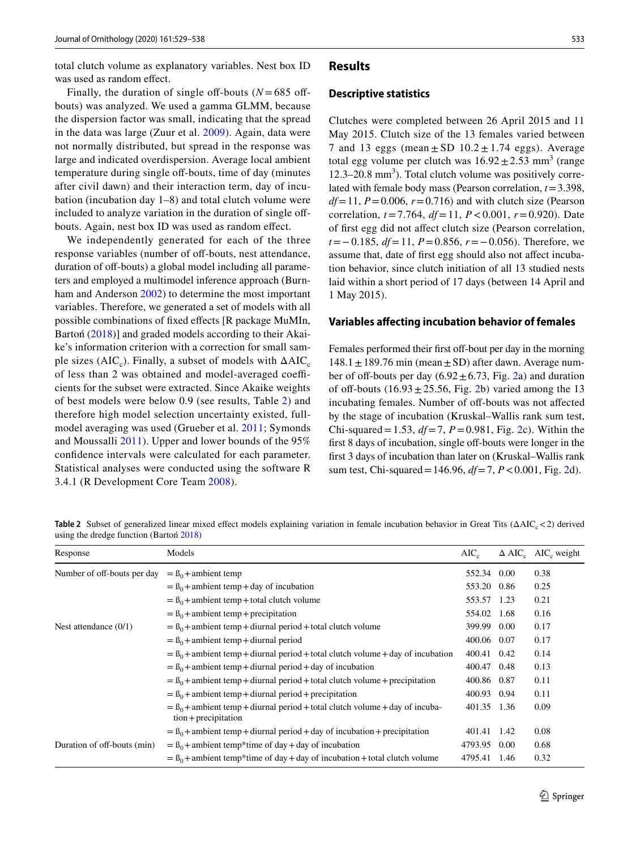total clutch volume as explanatory variables. Nest box ID was used as random effect.

Finally, the duration of single off-bouts  $(N = 685$  offbouts) was analyzed. We used a gamma GLMM, because the dispersion factor was small, indicating that the spread in the data was large (Zuur et al. [2009\)](#page-9-15). Again, data were not normally distributed, but spread in the response was large and indicated overdispersion. Average local ambient temperature during single off-bouts, time of day (minutes) after civil dawn) and their interaction term, day of incubation (incubation day 1–8) and total clutch volume were included to analyze variation in the duration of single offbouts. Again, nest box ID was used as random efect.

We independently generated for each of the three response variables (number of off-bouts, nest attendance, duration of off-bouts) a global model including all parameters and employed a multimodel inference approach (Burnham and Anderson [2002](#page-8-23)) to determine the most important variables. Therefore, we generated a set of models with all possible combinations of fxed efects [R package MuMIn, Bartoń ([2018\)](#page-8-24)] and graded models according to their Akaike's information criterion with a correction for small sample sizes (AIC<sub>c</sub>). Finally, a subset of models with  $\Delta AIC_c$ of less than 2 was obtained and model-averaged coefficients for the subset were extracted. Since Akaike weights of best models were below 0.9 (see results, Table [2\)](#page-4-0) and therefore high model selection uncertainty existed, fullmodel averaging was used (Grueber et al. [2011](#page-8-25); Symonds and Moussalli [2011\)](#page-9-16). Upper and lower bounds of the 95% confdence intervals were calculated for each parameter. Statistical analyses were conducted using the software R 3.4.1 (R Development Core Team [2008\)](#page-9-17).

# **Results**

#### **Descriptive statistics**

Clutches were completed between 26 April 2015 and 11 May 2015. Clutch size of the 13 females varied between 7 and 13 eggs (mean  $\pm$  SD 10.2  $\pm$  1.74 eggs). Average total egg volume per clutch was  $16.92 \pm 2.53$  mm<sup>3</sup> (range 12.3–20.8 mm<sup>3</sup>). Total clutch volume was positively correlated with female body mass (Pearson correlation, *t*=3.398,  $df=11$ ,  $P=0.006$ ,  $r=0.716$ ) and with clutch size (Pearson correlation, *t*=7.764, *df*=11, *P*<0.001, *r*=0.920). Date of frst egg did not afect clutch size (Pearson correlation, *t*=−0.185, *df*=11, *P*=0.856, *r*=−0.056). Therefore, we assume that, date of frst egg should also not afect incubation behavior, since clutch initiation of all 13 studied nests laid within a short period of 17 days (between 14 April and 1 May 2015).

#### **Variables afecting incubation behavior of females**

Females performed their first off-bout per day in the morning  $148.1 \pm 189.76$  min (mean  $\pm$  SD) after dawn. Average number of off-bouts per day  $(6.92 \pm 6.73,$  Fig. [2a](#page-5-0)) and duration of off-bouts  $(16.93 \pm 25.56,$  $(16.93 \pm 25.56,$  $(16.93 \pm 25.56,$  Fig. 2b) varied among the 13 incubating females. Number of off-bouts was not affected by the stage of incubation (Kruskal–Wallis rank sum test, Chi-squared=1.53, *df*=7, *P*=0.981, Fig. [2c](#page-5-0)). Within the first 8 days of incubation, single off-bouts were longer in the frst 3 days of incubation than later on (Kruskal–Wallis rank sum test, Chi-squared =  $146.96$ ,  $df = 7$ ,  $P < 0.001$ , Fig. [2](#page-5-0)d).

<span id="page-4-0"></span>**Table 2** Subset of generalized linear mixed effect models explaining variation in female incubation behavior in Great Tits (ΔAIC<sub>c</sub> < 2) derived using the dredge function (Bartoń [2018\)](#page-8-24)

| Response                    | Models                                                                                                              | $AIC_c$     |      | $\Delta$ AIC <sub>c</sub> AIC <sub>c</sub> weight |
|-----------------------------|---------------------------------------------------------------------------------------------------------------------|-------------|------|---------------------------------------------------|
| Number of off-bouts per day | $=$ $\beta_0$ + ambient temp                                                                                        | 552.34      | 0.00 | 0.38                                              |
|                             | $=$ B <sub>0</sub> + ambient temp + day of incubation                                                               | 553.20      | 0.86 | 0.25                                              |
|                             | $=$ $\beta_0$ + ambient temp + total clutch volume                                                                  | 553.57      | 1.23 | 0.21                                              |
|                             | $=$ $\beta_0$ + ambient temp + precipitation                                                                        | 554.02      | 1.68 | 0.16                                              |
| Nest attendance $(0/1)$     | $=$ B <sub>0</sub> + ambient temp + diurnal period + total clutch volume                                            | 399.99      | 0.00 | 0.17                                              |
|                             | $=$ $\beta_0$ + ambient temp + diurnal period                                                                       | 400.06      | 0.07 | 0.17                                              |
|                             | $=$ B <sub>0</sub> + ambient temp + diurnal period + total clutch volume + day of incubation                        | 400.41      | 0.42 | 0.14                                              |
|                             | $=$ $\beta_0$ + ambient temp + diurnal period + day of incubation                                                   | 400.47      | 0.48 | 0.13                                              |
|                             | $=$ B <sub>0</sub> + ambient temp + diurnal period + total clutch volume + precipitation                            | 400.86 0.87 |      | 0.11                                              |
|                             | $=$ $B_0$ + ambient temp + diurnal period + precipitation                                                           | 400.93      | 0.94 | 0.11                                              |
|                             | $=$ B <sub>0</sub> + ambient temp + diurnal period + total clutch volume + day of incuba-<br>$tion + precipitation$ | 401.35      | 1.36 | 0.09                                              |
|                             | $=$ B <sub>0</sub> + ambient temp + diurnal period + day of incubation + precipitation                              | 401.41      | 1.42 | 0.08                                              |
| Duration of off-bouts (min) | $=$ B <sub>0</sub> + ambient temp <sup>*</sup> time of day + day of incubation                                      | 4793.95     | 0.00 | 0.68                                              |
|                             | $=$ B <sub>0</sub> + ambient temp <sup>*</sup> time of day + day of incubation + total clutch volume                | 4795.41     | 1.46 | 0.32                                              |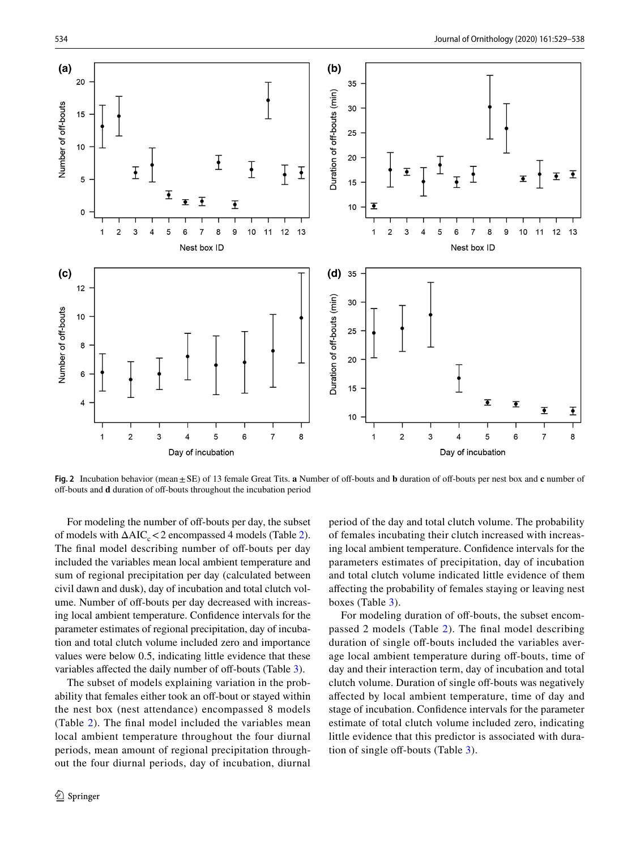

<span id="page-5-0"></span>**Fig. 2** Incubation behavior (mean  $\pm$  SE) of 13 female Great Tits. **a** Number of off-bouts and **b** duration of off-bouts per nest box and **c** number of of-bouts and **d** duration of of-bouts throughout the incubation period

For modeling the number of off-bouts per day, the subset of models with  $\Delta AIC_{c} < 2$  $\Delta AIC_{c} < 2$  encompassed 4 models (Table 2). The final model describing number of off-bouts per day included the variables mean local ambient temperature and sum of regional precipitation per day (calculated between civil dawn and dusk), day of incubation and total clutch volume. Number of off-bouts per day decreased with increasing local ambient temperature. Confdence intervals for the parameter estimates of regional precipitation, day of incubation and total clutch volume included zero and importance values were below 0.5, indicating little evidence that these variables affected the daily number of off-bouts (Table [3](#page-6-0)).

The subset of models explaining variation in the probability that females either took an off-bout or stayed within the nest box (nest attendance) encompassed 8 models (Table [2](#page-4-0)). The fnal model included the variables mean local ambient temperature throughout the four diurnal periods, mean amount of regional precipitation throughout the four diurnal periods, day of incubation, diurnal

period of the day and total clutch volume. The probability of females incubating their clutch increased with increasing local ambient temperature. Confdence intervals for the parameters estimates of precipitation, day of incubation and total clutch volume indicated little evidence of them afecting the probability of females staying or leaving nest boxes (Table [3](#page-6-0)).

For modeling duration of off-bouts, the subset encompassed 2 models (Table [2](#page-4-0)). The fnal model describing duration of single off-bouts included the variables average local ambient temperature during off-bouts, time of day and their interaction term, day of incubation and total clutch volume. Duration of single off-bouts was negatively afected by local ambient temperature, time of day and stage of incubation. Confdence intervals for the parameter estimate of total clutch volume included zero, indicating little evidence that this predictor is associated with dura-tion of single off-bouts (Table [3\)](#page-6-0).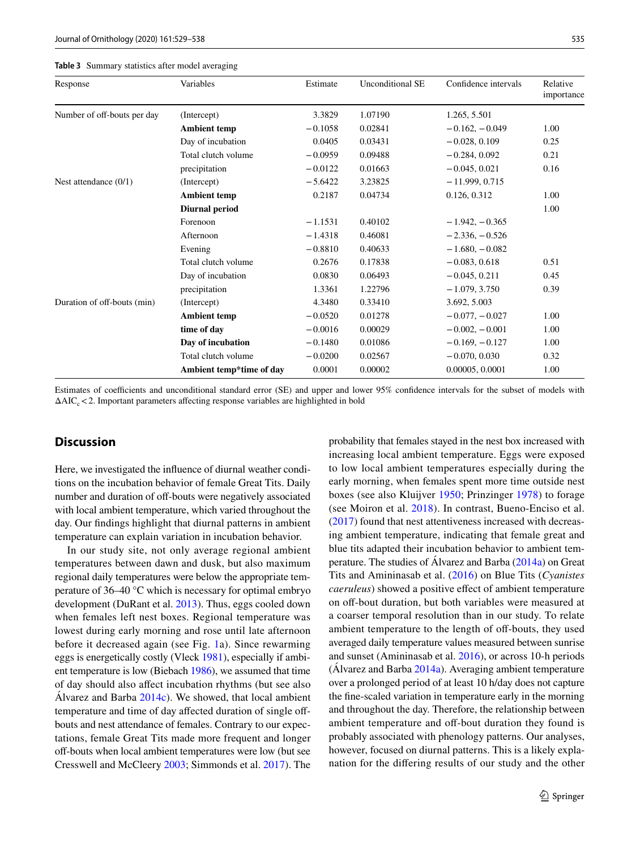<span id="page-6-0"></span>

| Table 3 Summary statistics after model averaging |  |
|--------------------------------------------------|--|
|--------------------------------------------------|--|

| Response                    | Variables                | Estimate  | Unconditional SE | Confidence intervals | Relative<br>importance |
|-----------------------------|--------------------------|-----------|------------------|----------------------|------------------------|
| Number of off-bouts per day | (Intercept)              | 3.3829    | 1.07190          | 1.265, 5.501         |                        |
|                             | <b>Ambient temp</b>      | $-0.1058$ | 0.02841          | $-0.162, -0.049$     | 1.00                   |
|                             | Day of incubation        | 0.0405    | 0.03431          | $-0.028, 0.109$      | 0.25                   |
|                             | Total clutch volume      | $-0.0959$ | 0.09488          | $-0.284, 0.092$      | 0.21                   |
|                             | precipitation            | $-0.0122$ | 0.01663          | $-0.045, 0.021$      | 0.16                   |
| Nest attendance $(0/1)$     | (Intercept)              | $-5.6422$ | 3.23825          | $-11.999, 0.715$     |                        |
|                             | <b>Ambient temp</b>      | 0.2187    | 0.04734          | 0.126, 0.312         | 1.00                   |
|                             | <b>Diurnal period</b>    |           |                  |                      | 1.00                   |
|                             | Forenoon                 | $-1.1531$ | 0.40102          | $-1.942, -0.365$     |                        |
|                             | Afternoon                | $-1.4318$ | 0.46081          | $-2.336, -0.526$     |                        |
|                             | Evening                  | $-0.8810$ | 0.40633          | $-1.680 - 0.082$     |                        |
|                             | Total clutch volume      | 0.2676    | 0.17838          | $-0.083, 0.618$      | 0.51                   |
|                             | Day of incubation        | 0.0830    | 0.06493          | $-0.045, 0.211$      | 0.45                   |
|                             | precipitation            | 1.3361    | 1.22796          | $-1.079, 3.750$      | 0.39                   |
| Duration of off-bouts (min) | (Intercept)              | 4.3480    | 0.33410          | 3.692, 5.003         |                        |
|                             | <b>Ambient temp</b>      | $-0.0520$ | 0.01278          | $-0.077, -0.027$     | 1.00                   |
|                             | time of day              | $-0.0016$ | 0.00029          | $-0.002, -0.001$     | 1.00                   |
|                             | Day of incubation        | $-0.1480$ | 0.01086          | $-0.169, -0.127$     | 1.00                   |
|                             | Total clutch volume      | $-0.0200$ | 0.02567          | $-0.070, 0.030$      | 0.32                   |
|                             | Ambient temp*time of day | 0.0001    | 0.00002          | 0.00005, 0.0001      | 1.00                   |

# **Discussion**

Here, we investigated the infuence of diurnal weather conditions on the incubation behavior of female Great Tits. Daily number and duration of off-bouts were negatively associated with local ambient temperature, which varied throughout the day. Our fndings highlight that diurnal patterns in ambient temperature can explain variation in incubation behavior.

In our study site, not only average regional ambient temperatures between dawn and dusk, but also maximum regional daily temperatures were below the appropriate temperature of 36–40 °C which is necessary for optimal embryo development (DuRant et al. [2013\)](#page-8-7). Thus, eggs cooled down when females left nest boxes. Regional temperature was lowest during early morning and rose until late afternoon before it decreased again (see Fig. [1](#page-2-0)a). Since rewarming eggs is energetically costly (Vleck [1981\)](#page-9-3), especially if ambient temperature is low (Biebach [1986](#page-8-9)), we assumed that time of day should also afect incubation rhythms (but see also Álvarez and Barba  $2014c$ ). We showed, that local ambient temperature and time of day affected duration of single offbouts and nest attendance of females. Contrary to our expectations, female Great Tits made more frequent and longer off-bouts when local ambient temperatures were low (but see Cresswell and McCleery [2003;](#page-8-4) Simmonds et al. [2017](#page-9-1)). The probability that females stayed in the nest box increased with increasing local ambient temperature. Eggs were exposed to low local ambient temperatures especially during the early morning, when females spent more time outside nest boxes (see also Kluijver [1950;](#page-8-5) Prinzinger [1978](#page-9-6)) to forage (see Moiron et al. [2018\)](#page-9-5). In contrast, Bueno-Enciso et al. [\(2017\)](#page-8-11) found that nest attentiveness increased with decreasing ambient temperature, indicating that female great and blue tits adapted their incubation behavior to ambient temperature. The studies of Álvarez and Barba [\(2014a\)](#page-8-26) on Great Tits and Amininasab et al. ([2016](#page-8-20)) on Blue Tits (*Cyanistes caeruleus*) showed a positive effect of ambient temperature on off-bout duration, but both variables were measured at a coarser temporal resolution than in our study. To relate ambient temperature to the length of off-bouts, they used averaged daily temperature values measured between sunrise and sunset (Amininasab et al. [2016\)](#page-8-20), or across 10-h periods (Álvarez and Barba [2014a](#page-8-26)). Averaging ambient temperature over a prolonged period of at least 10 h/day does not capture the fne-scaled variation in temperature early in the morning and throughout the day. Therefore, the relationship between ambient temperature and off-bout duration they found is probably associated with phenology patterns. Our analyses, however, focused on diurnal patterns. This is a likely explanation for the difering results of our study and the other

Estimates of coefficients and unconditional standard error (SE) and upper and lower 95% confidence intervals for the subset of models with  $\Delta AIC_c < 2$ . Important parameters affecting response variables are highlighted in bold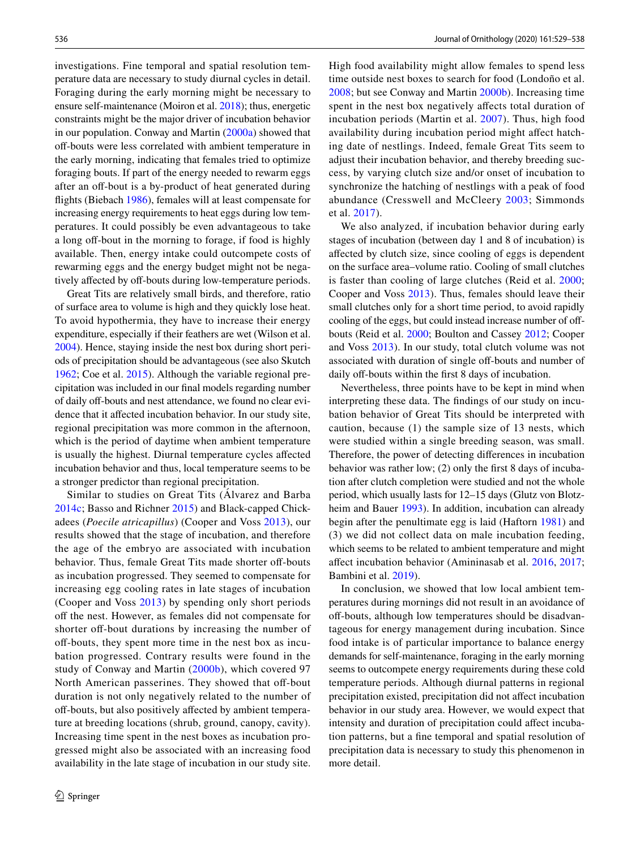investigations. Fine temporal and spatial resolution temperature data are necessary to study diurnal cycles in detail. Foraging during the early morning might be necessary to ensure self-maintenance (Moiron et al. [2018](#page-9-5)); thus, energetic constraints might be the major driver of incubation behavior in our population. Conway and Martin ([2000a](#page-8-10)) showed that off-bouts were less correlated with ambient temperature in the early morning, indicating that females tried to optimize foraging bouts. If part of the energy needed to rewarm eggs after an off-bout is a by-product of heat generated during fights (Biebach [1986\)](#page-8-9), females will at least compensate for increasing energy requirements to heat eggs during low temperatures. It could possibly be even advantageous to take a long off-bout in the morning to forage, if food is highly available. Then, energy intake could outcompete costs of rewarming eggs and the energy budget might not be negatively affected by off-bouts during low-temperature periods.

Great Tits are relatively small birds, and therefore, ratio of surface area to volume is high and they quickly lose heat. To avoid hypothermia, they have to increase their energy expenditure, especially if their feathers are wet (Wilson et al. [2004](#page-9-9)). Hence, staying inside the nest box during short periods of precipitation should be advantageous (see also Skutch [1962](#page-9-7); Coe et al. [2015\)](#page-8-18). Although the variable regional precipitation was included in our fnal models regarding number of daily off-bouts and nest attendance, we found no clear evidence that it affected incubation behavior. In our study site, regional precipitation was more common in the afternoon, which is the period of daytime when ambient temperature is usually the highest. Diurnal temperature cycles afected incubation behavior and thus, local temperature seems to be a stronger predictor than regional precipitation.

Similar to studies on Great Tits (Álvarez and Barba [2014c](#page-8-14); Basso and Richner [2015\)](#page-8-1) and Black-capped Chickadees (*Poecile atricapillus*) (Cooper and Voss [2013\)](#page-8-27), our results showed that the stage of incubation, and therefore the age of the embryo are associated with incubation behavior. Thus, female Great Tits made shorter off-bouts as incubation progressed. They seemed to compensate for increasing egg cooling rates in late stages of incubation (Cooper and Voss [2013\)](#page-8-27) by spending only short periods off the nest. However, as females did not compensate for shorter off-bout durations by increasing the number of off-bouts, they spent more time in the nest box as incubation progressed. Contrary results were found in the study of Conway and Martin ([2000b](#page-8-2)), which covered 97 North American passerines. They showed that off-bout duration is not only negatively related to the number of off-bouts, but also positively affected by ambient temperature at breeding locations (shrub, ground, canopy, cavity). Increasing time spent in the nest boxes as incubation progressed might also be associated with an increasing food availability in the late stage of incubation in our study site. High food availability might allow females to spend less time outside nest boxes to search for food (Londoño et al. [2008;](#page-8-28) but see Conway and Martin [2000b](#page-8-2)). Increasing time spent in the nest box negatively afects total duration of incubation periods (Martin et al. [2007](#page-8-29)). Thus, high food availability during incubation period might afect hatching date of nestlings. Indeed, female Great Tits seem to adjust their incubation behavior, and thereby breeding success, by varying clutch size and/or onset of incubation to synchronize the hatching of nestlings with a peak of food abundance (Cresswell and McCleery [2003](#page-8-4); Simmonds et al. [2017\)](#page-9-1).

We also analyzed, if incubation behavior during early stages of incubation (between day 1 and 8 of incubation) is afected by clutch size, since cooling of eggs is dependent on the surface area–volume ratio. Cooling of small clutches is faster than cooling of large clutches (Reid et al. [2000](#page-9-13); Cooper and Voss [2013\)](#page-8-27). Thus, females should leave their small clutches only for a short time period, to avoid rapidly cooling of the eggs, but could instead increase number of offbouts (Reid et al. [2000;](#page-9-13) Boulton and Cassey [2012;](#page-8-30) Cooper and Voss [2013\)](#page-8-27). In our study, total clutch volume was not associated with duration of single off-bouts and number of daily off-bouts within the first 8 days of incubation.

Nevertheless, three points have to be kept in mind when interpreting these data. The fndings of our study on incubation behavior of Great Tits should be interpreted with caution, because (1) the sample size of 13 nests, which were studied within a single breeding season, was small. Therefore, the power of detecting diferences in incubation behavior was rather low; (2) only the frst 8 days of incubation after clutch completion were studied and not the whole period, which usually lasts for 12–15 days (Glutz von Blotzheim and Bauer [1993\)](#page-8-22). In addition, incubation can already begin after the penultimate egg is laid (Haftorn [1981](#page-8-31)) and (3) we did not collect data on male incubation feeding, which seems to be related to ambient temperature and might afect incubation behavior (Amininasab et al. [2016,](#page-8-20) [2017](#page-8-32); Bambini et al. [2019\)](#page-8-3).

In conclusion, we showed that low local ambient temperatures during mornings did not result in an avoidance of off-bouts, although low temperatures should be disadvantageous for energy management during incubation. Since food intake is of particular importance to balance energy demands for self-maintenance, foraging in the early morning seems to outcompete energy requirements during these cold temperature periods. Although diurnal patterns in regional precipitation existed, precipitation did not afect incubation behavior in our study area. However, we would expect that intensity and duration of precipitation could affect incubation patterns, but a fne temporal and spatial resolution of precipitation data is necessary to study this phenomenon in more detail.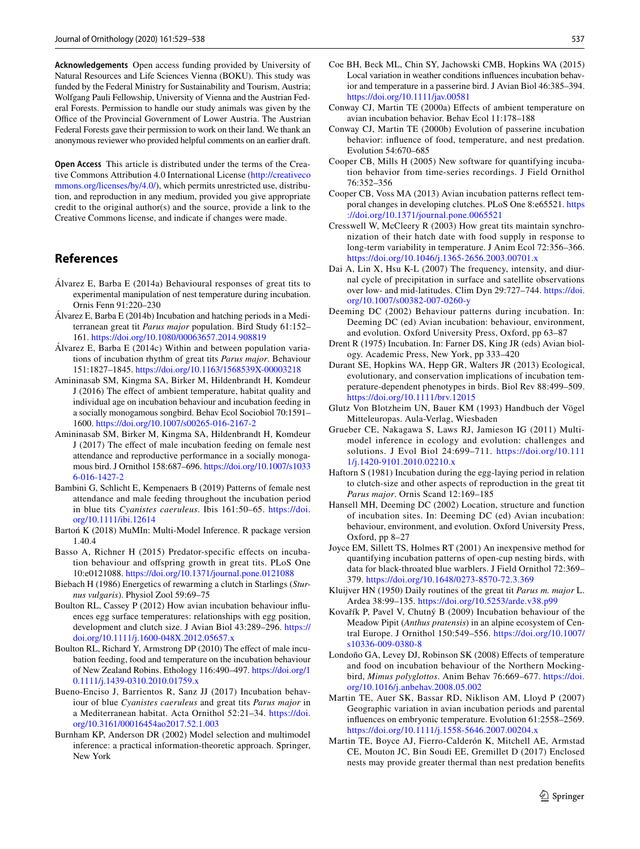**Acknowledgements** Open access funding provided by University of Natural Resources and Life Sciences Vienna (BOKU). This study was funded by the Federal Ministry for Sustainability and Tourism, Austria; Wolfgang Pauli Fellowship, University of Vienna and the Austrian Federal Forests. Permission to handle our study animals was given by the Office of the Provincial Government of Lower Austria. The Austrian Federal Forests gave their permission to work on their land. We thank an anonymous reviewer who provided helpful comments on an earlier draft.

**Open Access** This article is distributed under the terms of the Creative Commons Attribution 4.0 International License [\(http://creativeco](http://creativecommons.org/licenses/by/4.0/) [mmons.org/licenses/by/4.0/](http://creativecommons.org/licenses/by/4.0/)), which permits unrestricted use, distribution, and reproduction in any medium, provided you give appropriate credit to the original author(s) and the source, provide a link to the Creative Commons license, and indicate if changes were made.

# **References**

- <span id="page-8-26"></span>Álvarez E, Barba E (2014a) Behavioural responses of great tits to experimental manipulation of nest temperature during incubation. Ornis Fenn 91:220–230
- <span id="page-8-0"></span>Álvarez E, Barba E (2014b) Incubation and hatching periods in a Mediterranean great tit *Parus major* population. Bird Study 61:152– 161.<https://doi.org/10.1080/00063657.2014.908819>
- <span id="page-8-14"></span>Álvarez E, Barba E (2014c) Within and between population variations of incubation rhythm of great tits *Parus major*. Behaviour 151:1827–1845.<https://doi.org/10.1163/1568539X-00003218>
- <span id="page-8-20"></span>Amininasab SM, Kingma SA, Birker M, Hildenbrandt H, Komdeur J (2016) The efect of ambient temperature, habitat quality and individual age on incubation behaviour and incubation feeding in a socially monogamous songbird. Behav Ecol Sociobiol 70:1591– 1600.<https://doi.org/10.1007/s00265-016-2167-2>
- <span id="page-8-32"></span>Amininasab SM, Birker M, Kingma SA, Hildenbrandt H, Komdeur J (2017) The efect of male incubation feeding on female nest attendance and reproductive performance in a socially monogamous bird. J Ornithol 158:687–696. [https://doi.org/10.1007/s1033](https://doi.org/10.1007/s10336-016-1427-2) [6-016-1427-2](https://doi.org/10.1007/s10336-016-1427-2)
- <span id="page-8-3"></span>Bambini G, Schlicht E, Kempenaers B (2019) Patterns of female nest attendance and male feeding throughout the incubation period in blue tits *Cyanistes caeruleus*. Ibis 161:50–65. [https://doi.](https://doi.org/10.1111/ibi.12614) [org/10.1111/ibi.12614](https://doi.org/10.1111/ibi.12614)
- <span id="page-8-24"></span>Bartoń K (2018) MuMIn: Multi-Model Inference. R package version 1.40.4
- <span id="page-8-1"></span>Basso A, Richner H (2015) Predator-specific effects on incubation behaviour and ofspring growth in great tits. PLoS One 10:e0121088.<https://doi.org/10.1371/journal.pone.0121088>
- <span id="page-8-9"></span>Biebach H (1986) Energetics of rewarming a clutch in Starlings (*Sturnus vulgaris*). Physiol Zool 59:69–75
- <span id="page-8-30"></span>Boulton RL, Cassey P (2012) How avian incubation behaviour infuences egg surface temperatures: relationships with egg position, development and clutch size. J Avian Biol 43:289–296. [https://](https://doi.org/10.1111/j.1600-048X.2012.05657.x) [doi.org/10.1111/j.1600-048X.2012.05657.x](https://doi.org/10.1111/j.1600-048X.2012.05657.x)
- <span id="page-8-12"></span>Boulton RL, Richard Y, Armstrong DP (2010) The effect of male incubation feeding, food and temperature on the incubation behaviour of New Zealand Robins. Ethology 116:490–497. [https://doi.org/1](https://doi.org/10.1111/j.1439-0310.2010.01759.x) [0.1111/j.1439-0310.2010.01759.x](https://doi.org/10.1111/j.1439-0310.2010.01759.x)
- <span id="page-8-11"></span>Bueno-Enciso J, Barrientos R, Sanz JJ (2017) Incubation behaviour of blue *Cyanistes caeruleus* and great tits *Parus major* in a Mediterranean habitat. Acta Ornithol 52:21–34. [https://doi.](https://doi.org/10.3161/00016454ao2017.52.1.003) [org/10.3161/00016454ao2017.52.1.003](https://doi.org/10.3161/00016454ao2017.52.1.003)
- <span id="page-8-23"></span>Burnham KP, Anderson DR (2002) Model selection and multimodel inference: a practical information-theoretic approach. Springer, New York
- <span id="page-8-18"></span>Coe BH, Beck ML, Chin SY, Jachowski CMB, Hopkins WA (2015) Local variation in weather conditions infuences incubation behavior and temperature in a passerine bird. J Avian Biol 46:385–394. <https://doi.org/10.1111/jav.00581>
- <span id="page-8-10"></span>Conway CJ, Martin TE (2000a) Efects of ambient temperature on avian incubation behavior. Behav Ecol 11:178–188
- <span id="page-8-2"></span>Conway CJ, Martin TE (2000b) Evolution of passerine incubation behavior: infuence of food, temperature, and nest predation. Evolution 54:670–685
- <span id="page-8-21"></span>Cooper CB, Mills H (2005) New software for quantifying incubation behavior from time-series recordings. J Field Ornithol 76:352–356
- <span id="page-8-27"></span>Cooper CB, Voss MA (2013) Avian incubation patterns refect temporal changes in developing clutches. PLoS One 8:e65521. [https](https://doi.org/10.1371/journal.pone.0065521) [://doi.org/10.1371/journal.pone.0065521](https://doi.org/10.1371/journal.pone.0065521)
- <span id="page-8-4"></span>Cresswell W, McCleery R (2003) How great tits maintain synchronization of their hatch date with food supply in response to long-term variability in temperature. J Anim Ecol 72:356–366. <https://doi.org/10.1046/j.1365-2656.2003.00701.x>
- <span id="page-8-19"></span>Dai A, Lin X, Hsu K-L (2007) The frequency, intensity, and diurnal cycle of precipitation in surface and satellite observations over low- and mid-latitudes. Clim Dyn 29:727–744. [https://doi.](https://doi.org/10.1007/s00382-007-0260-y) [org/10.1007/s00382-007-0260-y](https://doi.org/10.1007/s00382-007-0260-y)
- <span id="page-8-8"></span>Deeming DC (2002) Behaviour patterns during incubation. In: Deeming DC (ed) Avian incubation: behaviour, environment, and evolution. Oxford University Press, Oxford, pp 63–87
- <span id="page-8-6"></span>Drent R (1975) Incubation. In: Farner DS, King JR (eds) Avian biology. Academic Press, New York, pp 333–420
- <span id="page-8-7"></span>Durant SE, Hopkins WA, Hepp GR, Walters JR (2013) Ecological, evolutionary, and conservation implications of incubation temperature-dependent phenotypes in birds. Biol Rev 88:499–509. <https://doi.org/10.1111/brv.12015>
- <span id="page-8-22"></span>Glutz Von Blotzheim UN, Bauer KM (1993) Handbuch der Vögel Mitteleuropas. Aula-Verlag, Wiesbaden
- <span id="page-8-25"></span>Grueber CE, Nakagawa S, Laws RJ, Jamieson IG (2011) Multimodel inference in ecology and evolution: challenges and solutions. J Evol Biol 24:699–711. [https://doi.org/10.111](https://doi.org/10.1111/j.1420-9101.2010.02210.x) [1/j.1420-9101.2010.02210.x](https://doi.org/10.1111/j.1420-9101.2010.02210.x)
- <span id="page-8-31"></span>Haftorn S (1981) Incubation during the egg-laying period in relation to clutch-size and other aspects of reproduction in the great tit *Parus major*. Ornis Scand 12:169–185
- <span id="page-8-16"></span>Hansell MH, Deeming DC (2002) Location, structure and function of incubation sites. In: Deeming DC (ed) Avian incubation: behaviour, environment, and evolution. Oxford University Press, Oxford, pp 8–27
- <span id="page-8-13"></span>Joyce EM, Sillett TS, Holmes RT (2001) An inexpensive method for quantifying incubation patterns of open-cup nesting birds, with data for black-throated blue warblers. J Field Ornithol 72:369– 379. <https://doi.org/10.1648/0273-8570-72.3.369>
- <span id="page-8-5"></span>Kluijver HN (1950) Daily routines of the great tit *Parus m. major* L. Ardea 38:99–135.<https://doi.org/10.5253/arde.v38.p99>
- <span id="page-8-15"></span>Kovařík P, Pavel V, Chutný B (2009) Incubation behaviour of the Meadow Pipit (*Anthus pratensis*) in an alpine ecosystem of Central Europe. J Ornithol 150:549–556. [https://doi.org/10.1007/](https://doi.org/10.1007/s10336-009-0380-8) [s10336-009-0380-8](https://doi.org/10.1007/s10336-009-0380-8)
- <span id="page-8-28"></span>Londoño GA, Levey DJ, Robinson SK (2008) Efects of temperature and food on incubation behaviour of the Northern Mockingbird, *Mimus polyglottos*. Anim Behav 76:669–677. [https://doi.](https://doi.org/10.1016/j.anbehav.2008.05.002) [org/10.1016/j.anbehav.2008.05.002](https://doi.org/10.1016/j.anbehav.2008.05.002)
- <span id="page-8-29"></span>Martin TE, Auer SK, Bassar RD, Niklison AM, Lloyd P (2007) Geographic variation in avian incubation periods and parental infuences on embryonic temperature. Evolution 61:2558–2569. <https://doi.org/10.1111/j.1558-5646.2007.00204.x>
- <span id="page-8-17"></span>Martin TE, Boyce AJ, Fierro-Calderón K, Mitchell AE, Armstad CE, Mouton JC, Bin Soudi EE, Gremillet D (2017) Enclosed nests may provide greater thermal than nest predation benefts